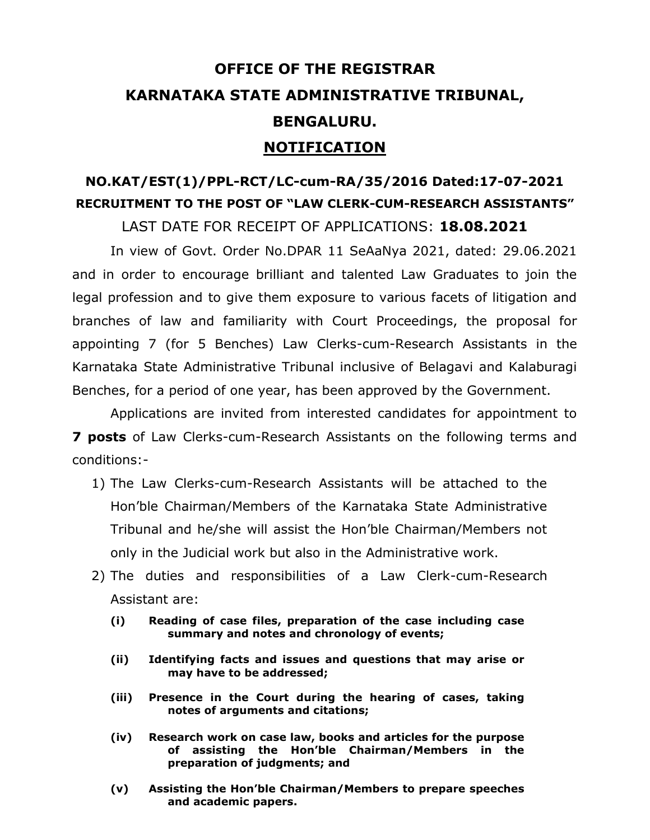# **OFFICE OF THE REGISTRAR KARNATAKA STATE ADMINISTRATIVE TRIBUNAL, BENGALURU. NOTIFICATION**

## **NO.KAT/EST(1)/PPL-RCT/LC-cum-RA/35/2016 Dated:17-07-2021 RECRUITMENT TO THE POST OF "LAW CLERK-CUM-RESEARCH ASSISTANTS"** LAST DATE FOR RECEIPT OF APPLICATIONS: **18.08.2021**

In view of Govt. Order No.DPAR 11 SeAaNya 2021, dated: 29.06.2021 and in order to encourage brilliant and talented Law Graduates to join the legal profession and to give them exposure to various facets of litigation and branches of law and familiarity with Court Proceedings, the proposal for appointing 7 (for 5 Benches) Law Clerks-cum-Research Assistants in the Karnataka State Administrative Tribunal inclusive of Belagavi and Kalaburagi Benches, for a period of one year, has been approved by the Government.

Applications are invited from interested candidates for appointment to **7 posts** of Law Clerks-cum-Research Assistants on the following terms and conditions:-

- 1) The Law Clerks-cum-Research Assistants will be attached to the Hon'ble Chairman/Members of the Karnataka State Administrative Tribunal and he/she will assist the Hon'ble Chairman/Members not only in the Judicial work but also in the Administrative work.
- 2) The duties and responsibilities of a Law Clerk-cum-Research Assistant are:
	- **(i) Reading of case files, preparation of the case including case summary and notes and chronology of events;**
	- **(ii) Identifying facts and issues and questions that may arise or may have to be addressed;**
	- **(iii) Presence in the Court during the hearing of cases, taking notes of arguments and citations;**
	- **(iv) Research work on case law, books and articles for the purpose of assisting the Hon'ble Chairman/Members in the preparation of judgments; and**
	- **(v) Assisting the Hon'ble Chairman/Members to prepare speeches and academic papers.**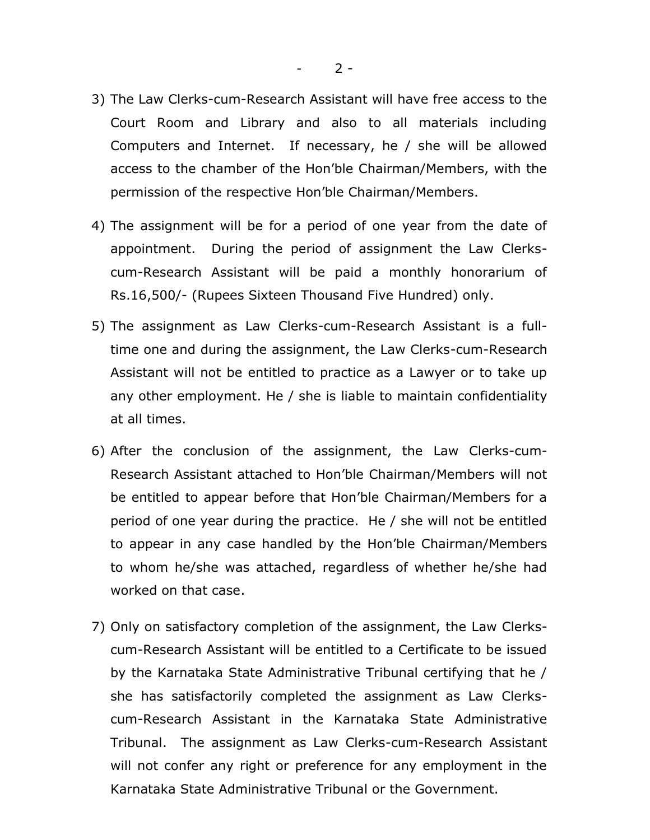- 3) The Law Clerks-cum-Research Assistant will have free access to the Court Room and Library and also to all materials including Computers and Internet. If necessary, he / she will be allowed access to the chamber of the Hon'ble Chairman/Members, with the permission of the respective Hon'ble Chairman/Members.
- 4) The assignment will be for a period of one year from the date of appointment. During the period of assignment the Law Clerkscum-Research Assistant will be paid a monthly honorarium of Rs.16,500/- (Rupees Sixteen Thousand Five Hundred) only.
- 5) The assignment as Law Clerks-cum-Research Assistant is a fulltime one and during the assignment, the Law Clerks-cum-Research Assistant will not be entitled to practice as a Lawyer or to take up any other employment. He / she is liable to maintain confidentiality at all times.
- 6) After the conclusion of the assignment, the Law Clerks-cum-Research Assistant attached to Hon'ble Chairman/Members will not be entitled to appear before that Hon'ble Chairman/Members for a period of one year during the practice. He / she will not be entitled to appear in any case handled by the Hon'ble Chairman/Members to whom he/she was attached, regardless of whether he/she had worked on that case.
- 7) Only on satisfactory completion of the assignment, the Law Clerkscum-Research Assistant will be entitled to a Certificate to be issued by the Karnataka State Administrative Tribunal certifying that he / she has satisfactorily completed the assignment as Law Clerkscum-Research Assistant in the Karnataka State Administrative Tribunal. The assignment as Law Clerks-cum-Research Assistant will not confer any right or preference for any employment in the Karnataka State Administrative Tribunal or the Government.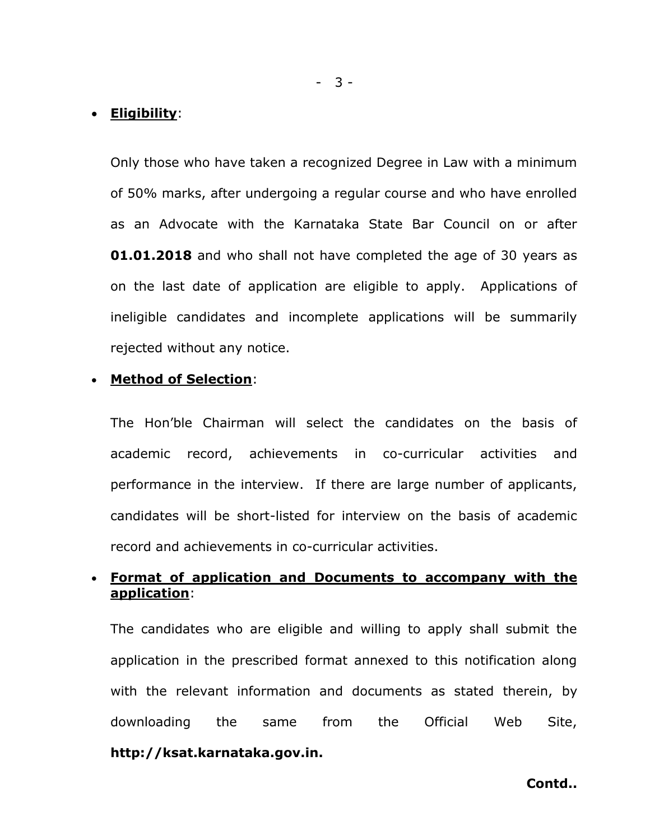#### • **Eligibility**:

Only those who have taken a recognized Degree in Law with a minimum of 50% marks, after undergoing a regular course and who have enrolled as an Advocate with the Karnataka State Bar Council on or after **01.01.2018** and who shall not have completed the age of 30 years as on the last date of application are eligible to apply. Applications of ineligible candidates and incomplete applications will be summarily rejected without any notice.

#### • **Method of Selection**:

The Hon'ble Chairman will select the candidates on the basis of academic record, achievements in co-curricular activities and performance in the interview. If there are large number of applicants, candidates will be short-listed for interview on the basis of academic record and achievements in co-curricular activities.

#### • **Format of application and Documents to accompany with the application**:

The candidates who are eligible and willing to apply shall submit the application in the prescribed format annexed to this notification along with the relevant information and documents as stated therein, by downloading the same from the Official Web Site, **http://ksat.karnataka.gov.in.**

**Contd..**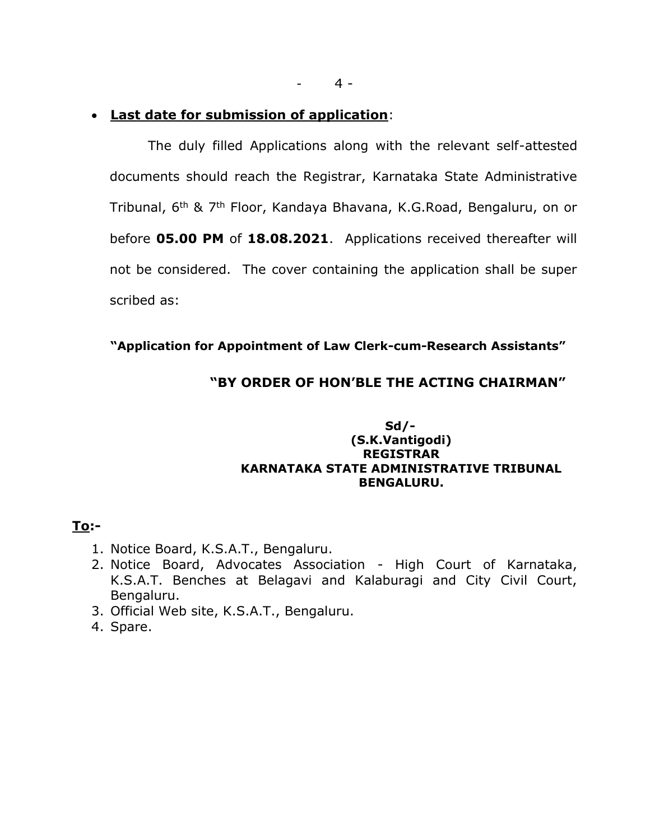#### • **Last date for submission of application**:

The duly filled Applications along with the relevant self-attested documents should reach the Registrar, Karnataka State Administrative Tribunal, 6<sup>th</sup> & 7<sup>th</sup> Floor, Kandaya Bhavana, K.G.Road, Bengaluru, on or before **05.00 PM** of **18.08.2021**. Applications received thereafter will not be considered. The cover containing the application shall be super scribed as:

#### **"Application for Appointment of Law Clerk-cum-Research Assistants"**

#### **"BY ORDER OF HON'BLE THE ACTING CHAIRMAN"**

#### **Sd/- (S.K.Vantigodi) REGISTRAR KARNATAKA STATE ADMINISTRATIVE TRIBUNAL BENGALURU.**

#### **To:-**

- 1. Notice Board, K.S.A.T., Bengaluru.
- 2. Notice Board, Advocates Association High Court of Karnataka, K.S.A.T. Benches at Belagavi and Kalaburagi and City Civil Court, Bengaluru.
- 3. Official Web site, K.S.A.T., Bengaluru.
- 4. Spare.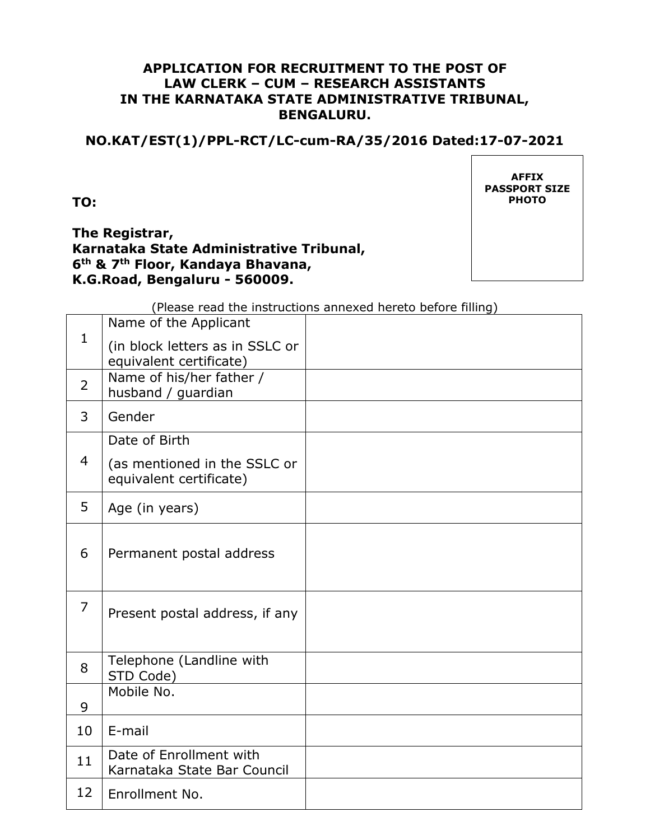#### **APPLICATION FOR RECRUITMENT TO THE POST OF LAW CLERK – CUM – RESEARCH ASSISTANTS IN THE KARNATAKA STATE ADMINISTRATIVE TRIBUNAL, BENGALURU.**

## **NO.KAT/EST(1)/PPL-RCT/LC-cum-RA/35/2016 Dated:17-07-2021**

**TO:**

#### **The Registrar, Karnataka State Administrative Tribunal, 6th & 7th Floor, Kandaya Bhavana, K.G.Road, Bengaluru - 560009.**

**AFFIX PASSPORT SIZE PHOTO**

(Please read the instructions annexed hereto before filling)

| $\mathbf{1}$   | Name of the Applicant                                      |  |
|----------------|------------------------------------------------------------|--|
|                | (in block letters as in SSLC or<br>equivalent certificate) |  |
| $\overline{2}$ | Name of his/her father /<br>husband / guardian             |  |
| 3              | Gender                                                     |  |
|                | Date of Birth                                              |  |
| $\overline{4}$ | (as mentioned in the SSLC or<br>equivalent certificate)    |  |
| 5              | Age (in years)                                             |  |
| 6              | Permanent postal address                                   |  |
| $\overline{7}$ | Present postal address, if any                             |  |
| 8              | Telephone (Landline with<br>STD Code)                      |  |
| 9              | Mobile No.                                                 |  |
| 10             | E-mail                                                     |  |
| 11             | Date of Enrollment with<br>Karnataka State Bar Council     |  |
| 12             | Enrollment No.                                             |  |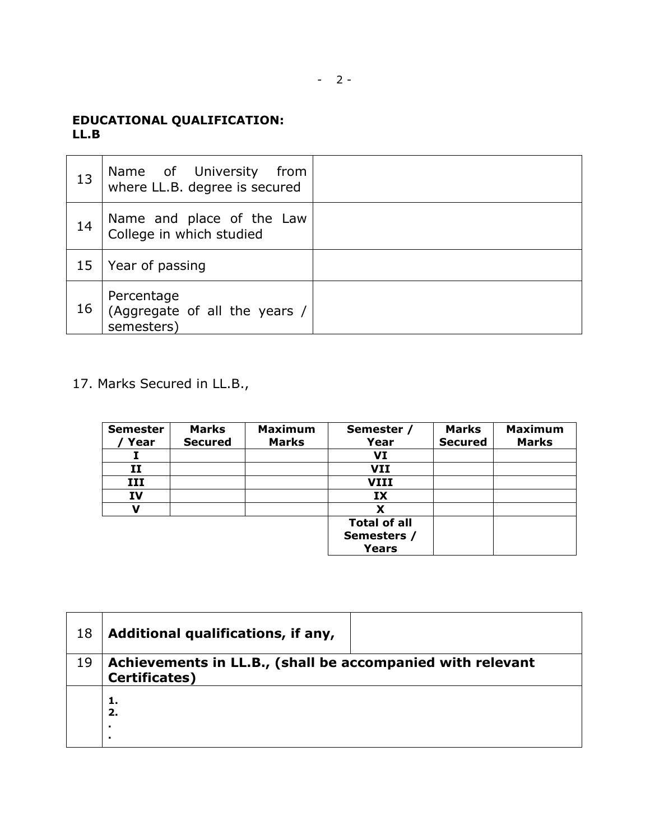## $- 2 -$

## **EDUCATIONAL QUALIFICATION: LL.B**

| 13 | Name of University<br>from<br>where LL.B. degree is secured |  |
|----|-------------------------------------------------------------|--|
| 14 | Name and place of the Law<br>College in which studied       |  |
| 15 | Year of passing                                             |  |
| 16 | Percentage<br>(Aggregate of all the years /<br>semesters)   |  |

## 17. Marks Secured in LL.B.,

| <b>Semester</b><br>Year | <b>Marks</b><br><b>Secured</b> | <b>Maximum</b><br><b>Marks</b> | Semester /<br>Year  | <b>Marks</b><br><b>Secured</b> | <b>Maximum</b><br><b>Marks</b> |
|-------------------------|--------------------------------|--------------------------------|---------------------|--------------------------------|--------------------------------|
|                         |                                |                                | VI                  |                                |                                |
| 11                      |                                |                                | VII                 |                                |                                |
| III                     |                                |                                | VIII                |                                |                                |
| IV                      |                                |                                | IX                  |                                |                                |
|                         |                                |                                | x                   |                                |                                |
|                         |                                |                                | <b>Total of all</b> |                                |                                |
|                         |                                |                                | Semesters /         |                                |                                |
|                         |                                |                                | <b>Years</b>        |                                |                                |

| 18 | Additional qualifications, if any,                                                 |  |
|----|------------------------------------------------------------------------------------|--|
| 19 | Achievements in LL.B., (shall be accompanied with relevant<br><b>Certificates)</b> |  |
|    | 2.<br>٠                                                                            |  |